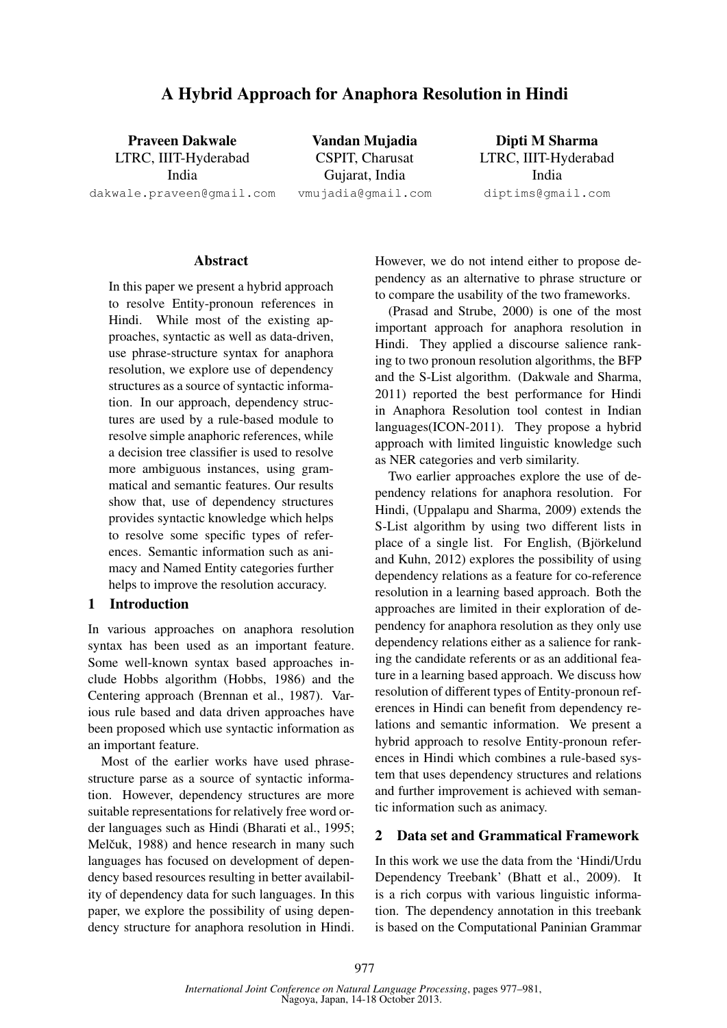# A Hybrid Approach for Anaphora Resolution in Hindi

Praveen Dakwale LTRC, IIIT-Hyderabad India dakwale.praveen@gmail.com

Vandan Mujadia CSPIT, Charusat Gujarat, India vmujadia@gmail.com

Dipti M Sharma LTRC, IIIT-Hyderabad India diptims@gmail.com

## Abstract

In this paper we present a hybrid approach to resolve Entity-pronoun references in Hindi. While most of the existing approaches, syntactic as well as data-driven, use phrase-structure syntax for anaphora resolution, we explore use of dependency structures as a source of syntactic information. In our approach, dependency structures are used by a rule-based module to resolve simple anaphoric references, while a decision tree classifier is used to resolve more ambiguous instances, using grammatical and semantic features. Our results show that, use of dependency structures provides syntactic knowledge which helps to resolve some specific types of references. Semantic information such as animacy and Named Entity categories further helps to improve the resolution accuracy.

## 1 Introduction

In various approaches on anaphora resolution syntax has been used as an important feature. Some well-known syntax based approaches include Hobbs algorithm (Hobbs, 1986) and the Centering approach (Brennan et al., 1987). Various rule based and data driven approaches have been proposed which use syntactic information as an important feature.

Most of the earlier works have used phrasestructure parse as a source of syntactic information. However, dependency structures are more suitable representations for relatively free word order languages such as Hindi (Bharati et al., 1995; Melčuk, 1988) and hence research in many such languages has focused on development of dependency based resources resulting in better availability of dependency data for such languages. In this paper, we explore the possibility of using dependency structure for anaphora resolution in Hindi. However, we do not intend either to propose dependency as an alternative to phrase structure or to compare the usability of the two frameworks.

(Prasad and Strube, 2000) is one of the most important approach for anaphora resolution in Hindi. They applied a discourse salience ranking to two pronoun resolution algorithms, the BFP and the S-List algorithm. (Dakwale and Sharma, 2011) reported the best performance for Hindi in Anaphora Resolution tool contest in Indian languages(ICON-2011). They propose a hybrid approach with limited linguistic knowledge such as NER categories and verb similarity.

Two earlier approaches explore the use of dependency relations for anaphora resolution. For Hindi, (Uppalapu and Sharma, 2009) extends the S-List algorithm by using two different lists in place of a single list. For English, (Björkelund and Kuhn, 2012) explores the possibility of using dependency relations as a feature for co-reference resolution in a learning based approach. Both the approaches are limited in their exploration of dependency for anaphora resolution as they only use dependency relations either as a salience for ranking the candidate referents or as an additional feature in a learning based approach. We discuss how resolution of different types of Entity-pronoun references in Hindi can benefit from dependency relations and semantic information. We present a hybrid approach to resolve Entity-pronoun references in Hindi which combines a rule-based system that uses dependency structures and relations and further improvement is achieved with semantic information such as animacy.

## 2 Data set and Grammatical Framework

In this work we use the data from the 'Hindi/Urdu Dependency Treebank' (Bhatt et al., 2009). It is a rich corpus with various linguistic information. The dependency annotation in this treebank is based on the Computational Paninian Grammar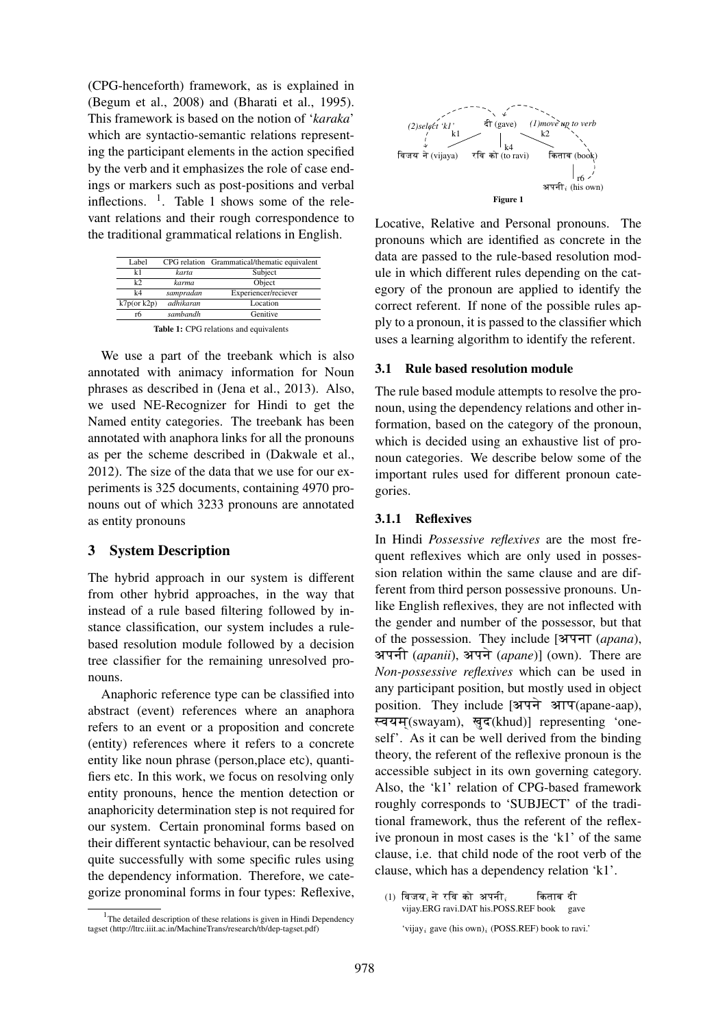(CPG-henceforth) framework, as is explained in (Begum et al., 2008) and (Bharati et al., 1995). This framework is based on the notion of '*karaka*' which are syntactio-semantic relations representing the participant elements in the action specified by the verb and it emphasizes the role of case endings or markers such as post-positions and verbal inflections.  $\frac{1}{1}$ . Table 1 shows some of the relevant relations and their rough correspondence to the traditional grammatical relations in English.

| Label             |           | CPG relation Grammatical/thematic equivalent |
|-------------------|-----------|----------------------------------------------|
| k1                | karta     | Subject                                      |
| k                 | karma     | Object                                       |
| k4                | sampradan | Experiencer/reciever                         |
| $k7p$ (or $k2p$ ) | adhikaran | Location                                     |
| rб                | sambandh  | Genitive                                     |
|                   |           |                                              |

Table 1: CPG relations and equivalents

We use a part of the treebank which is also annotated with animacy information for Noun phrases as described in (Jena et al., 2013). Also, we used NE-Recognizer for Hindi to get the Named entity categories. The treebank has been annotated with anaphora links for all the pronouns as per the scheme described in (Dakwale et al., 2012). The size of the data that we use for our experiments is 325 documents, containing 4970 pronouns out of which 3233 pronouns are annotated as entity pronouns

#### 3 System Description

The hybrid approach in our system is different from other hybrid approaches, in the way that instead of a rule based filtering followed by instance classification, our system includes a rulebased resolution module followed by a decision tree classifier for the remaining unresolved pronouns.

Anaphoric reference type can be classified into abstract (event) references where an anaphora refers to an event or a proposition and concrete (entity) references where it refers to a concrete entity like noun phrase (person,place etc), quantifiers etc. In this work, we focus on resolving only entity pronouns, hence the mention detection or anaphoricity determination step is not required for our system. Certain pronominal forms based on their different syntactic behaviour, can be resolved quite successfully with some specific rules using the dependency information. Therefore, we categorize pronominal forms in four types: Reflexive,



Locative, Relative and Personal pronouns. The pronouns which are identified as concrete in the data are passed to the rule-based resolution module in which different rules depending on the category of the pronoun are applied to identify the correct referent. If none of the possible rules apply to a pronoun, it is passed to the classifier which uses a learning algorithm to identify the referent.

#### 3.1 Rule based resolution module

The rule based module attempts to resolve the pronoun, using the dependency relations and other information, based on the category of the pronoun, which is decided using an exhaustive list of pronoun categories. We describe below some of the important rules used for different pronoun categories.

## 3.1.1 Reflexives

In Hindi *Possessive reflexives* are the most frequent reflexives which are only used in possession relation within the same clause and are different from third person possessive pronouns. Unlike English reflexives, they are not inflected with the gender and number of the possessor, but that of the possession. They include [अपना (apana), अपनी *(apanii)*, अपने *(apane)*] (own). There are *Non-possessive reflexives* which can be used in any participant position, but mostly used in object position. They include  $[3T4]$   $3TT$ (apane-aap), स्वयम(swayam), खुद(khud)] representing 'oneself'. As it can be well derived from the binding theory, the referent of the reflexive pronoun is the accessible subject in its own governing category. Also, the 'k1' relation of CPG-based framework roughly corresponds to 'SUBJECT' of the traditional framework, thus the referent of the reflexive pronoun in most cases is the 'k1' of the same clause, i.e. that child node of the root verb of the clause, which has a dependency relation 'k1'.

<sup>&</sup>lt;sup>1</sup>The detailed description of these relations is given in Hindi Dependency tagset (http://ltrc.iiit.ac.in/MachineTrans/research/tb/dep-tagset.pdf)

 $(1)$  विजय $_i$ ने रवि को अपनी $_i$ vijay.ERG ravi.DAT his.POSS.REF book gave किताब दी

<sup>&#</sup>x27;vijay<sub>i</sub> gave (his own)<sub>i</sub> (POSS.REF) book to ravi.'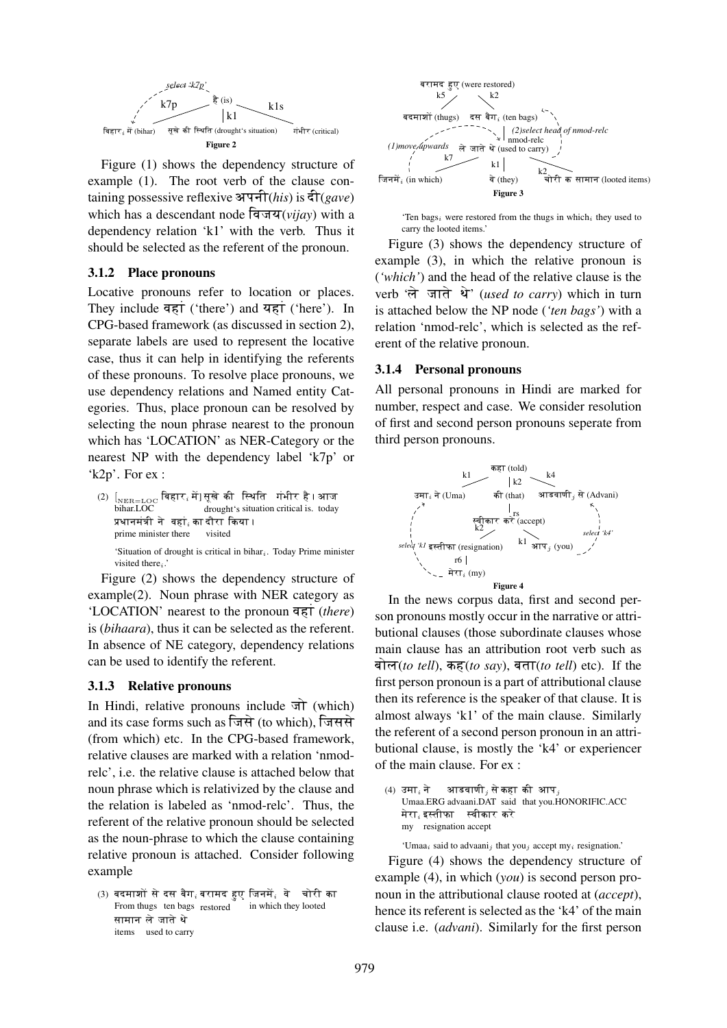

Figure (1) shows the dependency structure of example (1). The root verb of the clause containing possessive reflexive अपनी(*his*) is दी(*gave*) which has a descendant node विजय(*vijay*) with a dependency relation 'k1' with the verb. Thus it should be selected as the referent of the pronoun.

#### 3.1.2 Place pronouns

Locative pronouns refer to location or places. They include  $\overline{q\pi}$  ('there') and  $\overline{q\pi}$  ('here'). In CPG-based framework (as discussed in section 2), separate labels are used to represent the locative case, thus it can help in identifying the referents of these pronouns. To resolve place pronouns, we use dependency relations and Named entity Categories. Thus, place pronoun can be resolved by selecting the noun phrase nearest to the pronoun which has 'LOCATION' as NER-Category or the nearest NP with the dependency label 'k7p' or 'k2p'. For ex :

 $\left( 2\right) \;\left[ _{\mathrm{NER=LOC}}\right.$  बिहार $_{i}$ में] सूखे की स्थिति गंभीर है । आज bihar.LOC drought's situation critical is. today प्रधानमंत्री ने वहां $_i$  का दौरा किया । prime minister there visited 'Situation of drought is critical in bihar $_i$ . Today Prime minister visited there $_i$ .

Figure (2) shows the dependency structure of example(2). Noun phrase with NER category as 'LOCATION' nearest to the pronoun  $\overline{q}$ **s**T (*there*) is (*bihaara*), thus it can be selected as the referent. In absence of NE category, dependency relations can be used to identify the referent.

### 3.1.3 Relative pronouns

In Hindi, relative pronouns include  $\pi$  (which) and its case forms such as जिसे (to which), जिससे (from which) etc. In the CPG-based framework, relative clauses are marked with a relation 'nmodrelc', i.e. the relative clause is attached below that noun phrase which is relativized by the clause and the relation is labeled as 'nmod-relc'. Thus, the referent of the relative pronoun should be selected as the noun-phrase to which the clause containing relative pronoun is attached. Consider following example

 $\left( 3\right)$  बदमाशों से दस बैग $_{i}$ बरामद हुए जिनमें $_{i}$  वे $\quad$  चोरी का From thugs ten bags restored in which they looted सामान ले जाते थे items used to carry



'Ten bags<sub>i</sub> were restored from the thugs in which<sub>i</sub> they used to carry the looted items.'

Figure (3) shows the dependency structure of example (3), in which the relative pronoun is (*'which'*) and the head of the relative clause is the verb 'ले जाते थे' *(used to carry*) which in turn is attached below the NP node (*'ten bags'*) with a relation 'nmod-relc', which is selected as the referent of the relative pronoun.

#### 3.1.4 Personal pronouns

All personal pronouns in Hindi are marked for number, respect and case. We consider resolution of first and second person pronouns seperate from third person pronouns.



In the news corpus data, first and second person pronouns mostly occur in the narrative or attributional clauses (those subordinate clauses whose main clause has an attribution root verb such as बोल(*to tell*), कह(*to say*), बता(*to tell*) etc). If the first person pronoun is a part of attributional clause then its reference is the speaker of that clause. It is almost always 'k1' of the main clause. Similarly the referent of a second person pronoun in an attributional clause, is mostly the 'k4' or experiencer of the main clause. For ex :

(4) उमा $_i$  ने Umaa.ERG advaani.DAT said that you.HONORIFIC.ACC आडवाणी $_{j}$  से कहा की आप $_{j}$ मेरा $_{i}$ इस्तीफा स्वीकार करे my resignation accept

'Umaa<sub>i</sub> said to advaani<sub>j</sub> that you<sub>j</sub> accept my<sub>i</sub> resignation.'

Figure (4) shows the dependency structure of example (4), in which (*you*) is second person pronoun in the attributional clause rooted at (*accept*), hence its referent is selected as the 'k4' of the main clause i.e. (*advani*). Similarly for the first person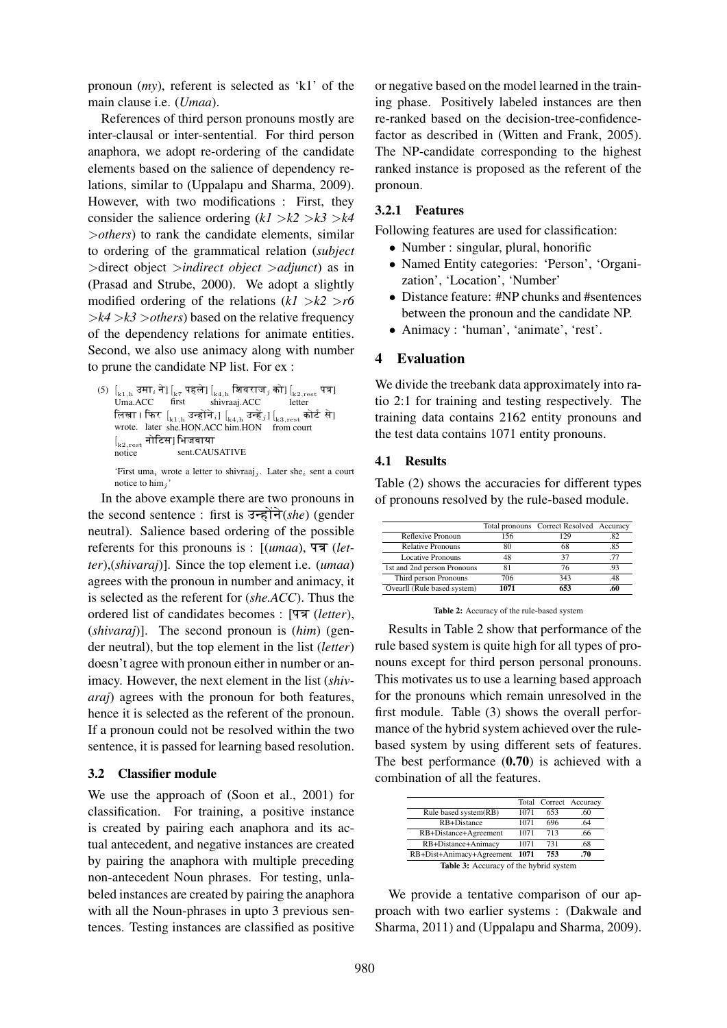pronoun (*my*), referent is selected as 'k1' of the main clause i.e. (*Umaa*).

References of third person pronouns mostly are inter-clausal or inter-sentential. For third person anaphora, we adopt re-ordering of the candidate elements based on the salience of dependency relations, similar to (Uppalapu and Sharma, 2009). However, with two modifications : First, they consider the salience ordering  $(kl > k2 > k3 > k4$ >*others*) to rank the candidate elements, similar to ordering of the grammatical relation (*subject* >direct object >*indirect object* >*adjunct*) as in (Prasad and Strube, 2000). We adopt a slightly modified ordering of the relations  $(kl > k2 > r6$  $\geq k/4 \geq k/3 >$ *others*) based on the relative frequency of the dependency relations for animate entities. Second, we also use animacy along with number to prune the candidate NP list. For ex :

 $(5)$   $\left[\begin{smallmatrix} 1 & 0 \\ 0 & 1 \end{smallmatrix} \right]$  उमा $\left[\begin{smallmatrix} 1 & 0 \\ 0 & 1 \end{smallmatrix} \right]$ Uma.ACC  $\genfrac{[}{]}{0pt}{}{k_7}{\mathsf{r}\mathsf{r}\mathsf{r}\mathsf{r}\mathsf{r} \mathsf{r} \mathsf{r}}\left[\max\limits_{\mathbf{h}\in \mathsf{r}\mathsf{r}}\left[\max\limits_{\mathbf{h}\in \mathsf{r}\mathsf{r}}\mathsf{r}\left(\mathbf{h}\right]\right]$ shivraaj.ACC  $\left[\mathbf{r}_{\text{k2},\text{rest}}\right]$  पत्र] letter लिखा । फिर $\; \; [{}_{\rm k1, h}\;$ उन्होंने $_{i}] \; [{}_{\rm k4, h}\;$ उन्हें $_{j}] \, [{}_{\rm k3, rest}\;$ कोर्ट से] wrote. later she.HON.ACC him.HON from court  $\left[\mathbf{r}_{\mathrm{k2,rest}}\right]$ नोटिस] भिजवाया notice sent.CAUSATIVE

'First uma<sub>i</sub> wrote a letter to shivraaj<sub>j</sub>. Later she<sub>i</sub> sent a court notice to  $\lim_i$ 

In the above example there are two pronouns in the second sentence : first is उन्होंने(*she*) (gender neutral). Salience based ordering of the possible referents for this pronouns is : [(*umaa*), पत्र (*letter*),(*shivaraj*)]. Since the top element i.e. (*umaa*) agrees with the pronoun in number and animacy, it is selected as the referent for (*she.ACC*). Thus the ordered list of candidates becomes : [पत्र *(letter*), (*shivaraj*)]. The second pronoun is (*him*) (gender neutral), but the top element in the list (*letter*) doesn't agree with pronoun either in number or animacy. However, the next element in the list (*shivaraj*) agrees with the pronoun for both features, hence it is selected as the referent of the pronoun. If a pronoun could not be resolved within the two sentence, it is passed for learning based resolution.

### 3.2 Classifier module

We use the approach of (Soon et al., 2001) for classification. For training, a positive instance is created by pairing each anaphora and its actual antecedent, and negative instances are created by pairing the anaphora with multiple preceding non-antecedent Noun phrases. For testing, unlabeled instances are created by pairing the anaphora with all the Noun-phrases in upto 3 previous sentences. Testing instances are classified as positive

or negative based on the model learned in the training phase. Positively labeled instances are then re-ranked based on the decision-tree-confidencefactor as described in (Witten and Frank, 2005). The NP-candidate corresponding to the highest ranked instance is proposed as the referent of the pronoun.

## 3.2.1 Features

Following features are used for classification:

- Number : singular, plural, honorific
- Named Entity categories: 'Person', 'Organization', 'Location', 'Number'
- Distance feature: #NP chunks and #sentences between the pronoun and the candidate NP.
- Animacy : 'human', 'animate', 'rest'.

## 4 Evaluation

We divide the treebank data approximately into ratio 2:1 for training and testing respectively. The training data contains 2162 entity pronouns and the test data contains 1071 entity pronouns.

### 4.1 Results

Table (2) shows the accuracies for different types of pronouns resolved by the rule-based module.

|                             |      | Total pronouns Correct Resolved Accuracy |    |
|-----------------------------|------|------------------------------------------|----|
| Reflexive Pronoun           | 156  | 129                                      | 82 |
| <b>Relative Pronouns</b>    | 80   | 68                                       | 85 |
| <b>Locative Pronouns</b>    | 48   | 37                                       |    |
| 1st and 2nd person Pronouns | 81   | 76                                       |    |
| Third person Pronouns       | 706  | 343                                      |    |
| Ovearll (Rule based system) | 1071 | 653                                      |    |

Table 2: Accuracy of the rule-based system

Results in Table 2 show that performance of the rule based system is quite high for all types of pronouns except for third person personal pronouns. This motivates us to use a learning based approach for the pronouns which remain unresolved in the first module. Table (3) shows the overall performance of the hybrid system achieved over the rulebased system by using different sets of features. The best performance  $(0.70)$  is achieved with a combination of all the features.

|                                                 |      |     | Total Correct Accuracy |  |
|-------------------------------------------------|------|-----|------------------------|--|
| Rule based system(RB)                           | 1071 | 653 | .60                    |  |
| RB+Distance                                     | 1071 | 696 | .64                    |  |
| RB+Distance+Agreement                           | 1071 | 713 | .66                    |  |
| RB+Distance+Animacy                             | 1071 | 731 | .68                    |  |
| RB+Dist+Animacy+Agreement<br>753<br>1071<br>.70 |      |     |                        |  |
| <b>Table 3:</b> Accuracy of the hybrid system   |      |     |                        |  |

We provide a tentative comparison of our approach with two earlier systems : (Dakwale and Sharma, 2011) and (Uppalapu and Sharma, 2009).